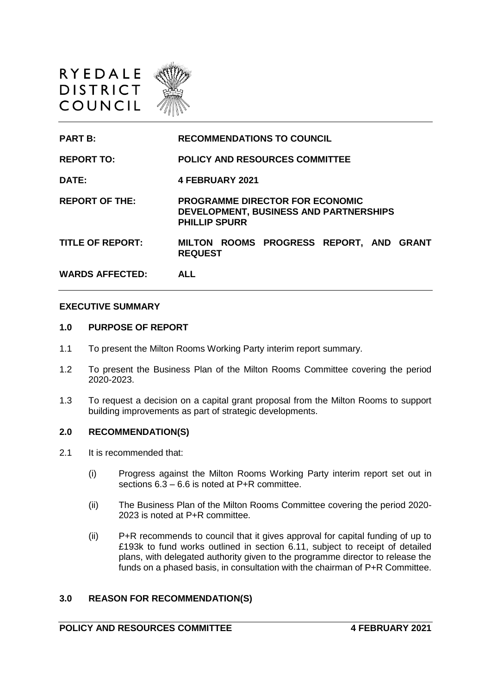



#### **EXECUTIVE SUMMARY**

#### **1.0 PURPOSE OF REPORT**

- 1.1 To present the Milton Rooms Working Party interim report summary.
- 1.2 To present the Business Plan of the Milton Rooms Committee covering the period 2020-2023.
- 1.3 To request a decision on a capital grant proposal from the Milton Rooms to support building improvements as part of strategic developments.

#### **2.0 RECOMMENDATION(S)**

- 2.1 It is recommended that:
	- (i) Progress against the Milton Rooms Working Party interim report set out in sections  $6.3 - 6.6$  is noted at P+R committee.
	- (ii) The Business Plan of the Milton Rooms Committee covering the period 2020- 2023 is noted at P+R committee.
	- (ii) P+R recommends to council that it gives approval for capital funding of up to £193k to fund works outlined in section 6.11, subject to receipt of detailed plans, with delegated authority given to the programme director to release the funds on a phased basis, in consultation with the chairman of P+R Committee.

#### **3.0 REASON FOR RECOMMENDATION(S)**

# **POLICY AND RESOURCES COMMITTEE 4 FEBRUARY 2021**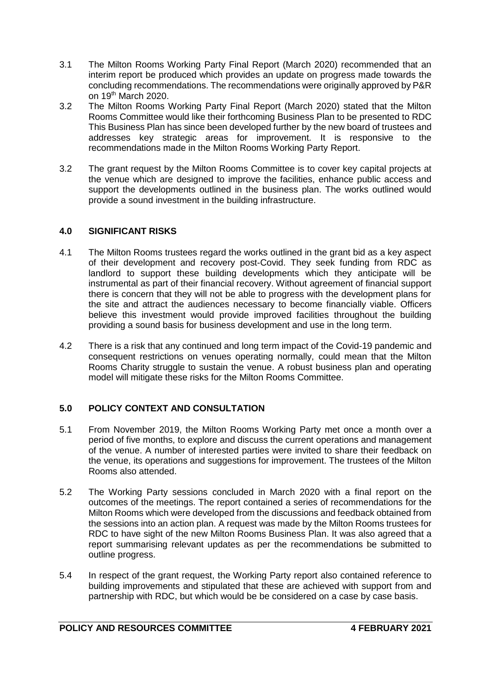- 3.1 The Milton Rooms Working Party Final Report (March 2020) recommended that an interim report be produced which provides an update on progress made towards the concluding recommendations. The recommendations were originally approved by P&R on 19th March 2020.
- 3.2 The Milton Rooms Working Party Final Report (March 2020) stated that the Milton Rooms Committee would like their forthcoming Business Plan to be presented to RDC This Business Plan has since been developed further by the new board of trustees and addresses key strategic areas for improvement. It is responsive to the recommendations made in the Milton Rooms Working Party Report.
- 3.2 The grant request by the Milton Rooms Committee is to cover key capital projects at the venue which are designed to improve the facilities, enhance public access and support the developments outlined in the business plan. The works outlined would provide a sound investment in the building infrastructure.

## **4.0 SIGNIFICANT RISKS**

- 4.1 The Milton Rooms trustees regard the works outlined in the grant bid as a key aspect of their development and recovery post-Covid. They seek funding from RDC as landlord to support these building developments which they anticipate will be instrumental as part of their financial recovery. Without agreement of financial support there is concern that they will not be able to progress with the development plans for the site and attract the audiences necessary to become financially viable. Officers believe this investment would provide improved facilities throughout the building providing a sound basis for business development and use in the long term.
- 4.2 There is a risk that any continued and long term impact of the Covid-19 pandemic and consequent restrictions on venues operating normally, could mean that the Milton Rooms Charity struggle to sustain the venue. A robust business plan and operating model will mitigate these risks for the Milton Rooms Committee.

## **5.0 POLICY CONTEXT AND CONSULTATION**

- 5.1 From November 2019, the Milton Rooms Working Party met once a month over a period of five months, to explore and discuss the current operations and management of the venue. A number of interested parties were invited to share their feedback on the venue, its operations and suggestions for improvement. The trustees of the Milton Rooms also attended.
- 5.2 The Working Party sessions concluded in March 2020 with a final report on the outcomes of the meetings. The report contained a series of recommendations for the Milton Rooms which were developed from the discussions and feedback obtained from the sessions into an action plan. A request was made by the Milton Rooms trustees for RDC to have sight of the new Milton Rooms Business Plan. It was also agreed that a report summarising relevant updates as per the recommendations be submitted to outline progress.
- 5.4 In respect of the grant request, the Working Party report also contained reference to building improvements and stipulated that these are achieved with support from and partnership with RDC, but which would be be considered on a case by case basis.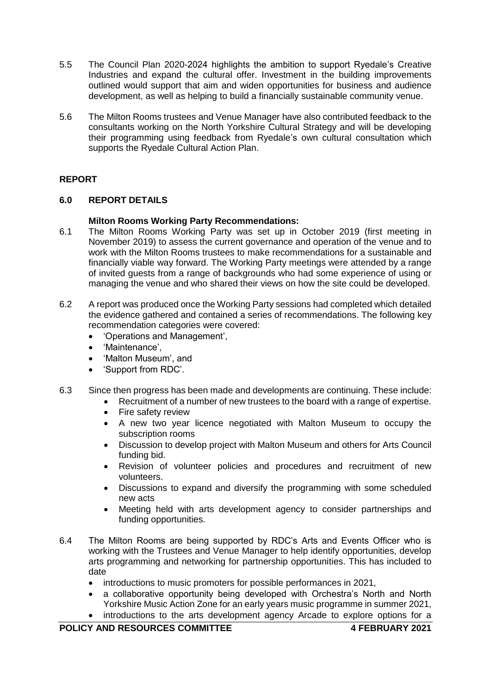- 5.5 The Council Plan 2020-2024 highlights the ambition to support Ryedale's Creative Industries and expand the cultural offer. Investment in the building improvements outlined would support that aim and widen opportunities for business and audience development, as well as helping to build a financially sustainable community venue.
- 5.6 The Milton Rooms trustees and Venue Manager have also contributed feedback to the consultants working on the North Yorkshire Cultural Strategy and will be developing their programming using feedback from Ryedale's own cultural consultation which supports the Ryedale Cultural Action Plan.

# **REPORT**

## **6.0 REPORT DETAILS**

## **Milton Rooms Working Party Recommendations:**

- 6.1 The Milton Rooms Working Party was set up in October 2019 (first meeting in November 2019) to assess the current governance and operation of the venue and to work with the Milton Rooms trustees to make recommendations for a sustainable and financially viable way forward. The Working Party meetings were attended by a range of invited guests from a range of backgrounds who had some experience of using or managing the venue and who shared their views on how the site could be developed.
- 6.2 A report was produced once the Working Party sessions had completed which detailed the evidence gathered and contained a series of recommendations. The following key recommendation categories were covered:
	- 'Operations and Management',
	- 'Maintenance',
	- 'Malton Museum', and
	- 'Support from RDC'.
- 6.3 Since then progress has been made and developments are continuing. These include:
	- Recruitment of a number of new trustees to the board with a range of expertise.
		- Fire safety review
		- A new two year licence negotiated with Malton Museum to occupy the subscription rooms
	- Discussion to develop project with Malton Museum and others for Arts Council funding bid.
	- Revision of volunteer policies and procedures and recruitment of new volunteers.
	- Discussions to expand and diversify the programming with some scheduled new acts
	- Meeting held with arts development agency to consider partnerships and funding opportunities.
- 6.4 The Milton Rooms are being supported by RDC's Arts and Events Officer who is working with the Trustees and Venue Manager to help identify opportunities, develop arts programming and networking for partnership opportunities. This has included to date
	- introductions to music promoters for possible performances in 2021,
	- a collaborative opportunity being developed with Orchestra's North and North Yorkshire Music Action Zone for an early years music programme in summer 2021,
	- introductions to the arts development agency Arcade to explore options for a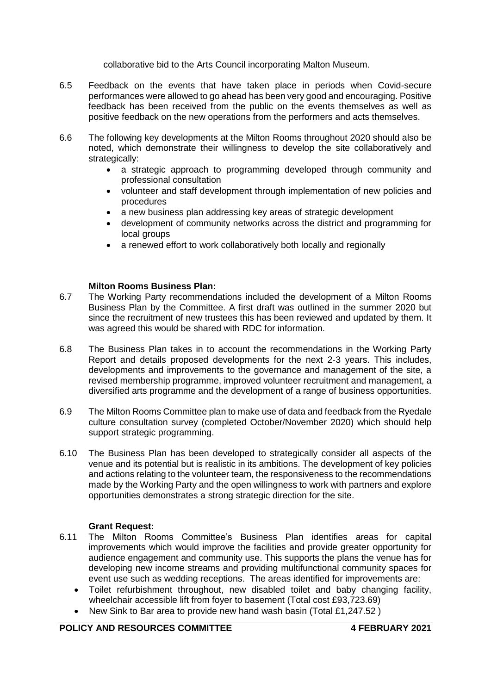collaborative bid to the Arts Council incorporating Malton Museum.

- 6.5 Feedback on the events that have taken place in periods when Covid-secure performances were allowed to go ahead has been very good and encouraging. Positive feedback has been received from the public on the events themselves as well as positive feedback on the new operations from the performers and acts themselves.
- 6.6 The following key developments at the Milton Rooms throughout 2020 should also be noted, which demonstrate their willingness to develop the site collaboratively and strategically:
	- a strategic approach to programming developed through community and professional consultation
	- volunteer and staff development through implementation of new policies and procedures
	- a new business plan addressing key areas of strategic development
	- development of community networks across the district and programming for local groups
	- a renewed effort to work collaboratively both locally and regionally

## **Milton Rooms Business Plan:**

- 6.7 The Working Party recommendations included the development of a Milton Rooms Business Plan by the Committee. A first draft was outlined in the summer 2020 but since the recruitment of new trustees this has been reviewed and updated by them. It was agreed this would be shared with RDC for information.
- 6.8 The Business Plan takes in to account the recommendations in the Working Party Report and details proposed developments for the next 2-3 years. This includes, developments and improvements to the governance and management of the site, a revised membership programme, improved volunteer recruitment and management, a diversified arts programme and the development of a range of business opportunities.
- 6.9 The Milton Rooms Committee plan to make use of data and feedback from the Ryedale culture consultation survey (completed October/November 2020) which should help support strategic programming.
- 6.10 The Business Plan has been developed to strategically consider all aspects of the venue and its potential but is realistic in its ambitions. The development of key policies and actions relating to the volunteer team, the responsiveness to the recommendations made by the Working Party and the open willingness to work with partners and explore opportunities demonstrates a strong strategic direction for the site.

#### **Grant Request:**

- 6.11 The Milton Rooms Committee's Business Plan identifies areas for capital improvements which would improve the facilities and provide greater opportunity for audience engagement and community use. This supports the plans the venue has for developing new income streams and providing multifunctional community spaces for event use such as wedding receptions. The areas identified for improvements are:
	- Toilet refurbishment throughout, new disabled toilet and baby changing facility, wheelchair accessible lift from foyer to basement (Total cost £93,723.69)
	- New Sink to Bar area to provide new hand wash basin (Total £1,247.52)

## **POLICY AND RESOURCES COMMITTEE 4 FEBRUARY 2021**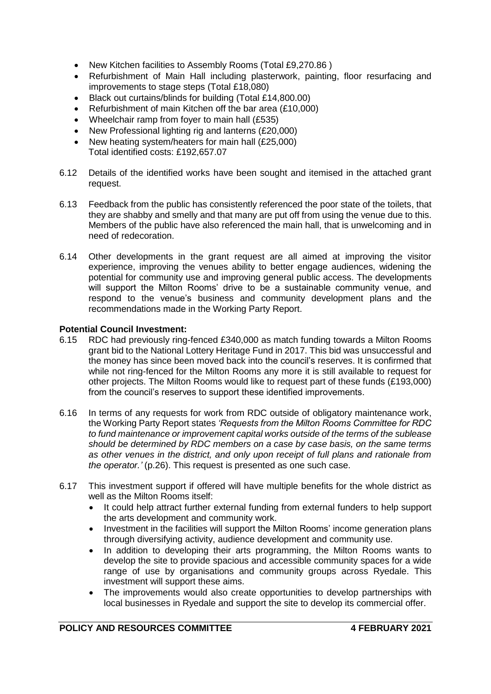- New Kitchen facilities to Assembly Rooms (Total £9,270.86)
- Refurbishment of Main Hall including plasterwork, painting, floor resurfacing and improvements to stage steps (Total £18,080)
- Black out curtains/blinds for building (Total £14,800.00)
- Refurbishment of main Kitchen off the bar area (£10,000)
- Wheelchair ramp from foyer to main hall (£535)
- New Professional lighting rig and lanterns (£20,000)
- New heating system/heaters for main hall (£25,000) Total identified costs: £192,657.07
- 6.12 Details of the identified works have been sought and itemised in the attached grant request.
- 6.13 Feedback from the public has consistently referenced the poor state of the toilets, that they are shabby and smelly and that many are put off from using the venue due to this. Members of the public have also referenced the main hall, that is unwelcoming and in need of redecoration.
- 6.14 Other developments in the grant request are all aimed at improving the visitor experience, improving the venues ability to better engage audiences, widening the potential for community use and improving general public access. The developments will support the Milton Rooms' drive to be a sustainable community venue, and respond to the venue's business and community development plans and the recommendations made in the Working Party Report.

## **Potential Council Investment:**

- 6.15 RDC had previously ring-fenced £340,000 as match funding towards a Milton Rooms grant bid to the National Lottery Heritage Fund in 2017. This bid was unsuccessful and the money has since been moved back into the council's reserves. It is confirmed that while not ring-fenced for the Milton Rooms any more it is still available to request for other projects. The Milton Rooms would like to request part of these funds (£193,000) from the council's reserves to support these identified improvements.
- 6.16 In terms of any requests for work from RDC outside of obligatory maintenance work, the Working Party Report states *'Requests from the Milton Rooms Committee for RDC to fund maintenance or improvement capital works outside of the terms of the sublease should be determined by RDC members on a case by case basis, on the same terms as other venues in the district, and only upon receipt of full plans and rationale from the operator.'* (p.26). This request is presented as one such case.
- 6.17 This investment support if offered will have multiple benefits for the whole district as well as the Milton Rooms itself:
	- It could help attract further external funding from external funders to help support the arts development and community work.
	- Investment in the facilities will support the Milton Rooms' income generation plans through diversifying activity, audience development and community use.
	- In addition to developing their arts programming, the Milton Rooms wants to develop the site to provide spacious and accessible community spaces for a wide range of use by organisations and community groups across Ryedale. This investment will support these aims.
	- The improvements would also create opportunities to develop partnerships with local businesses in Ryedale and support the site to develop its commercial offer.